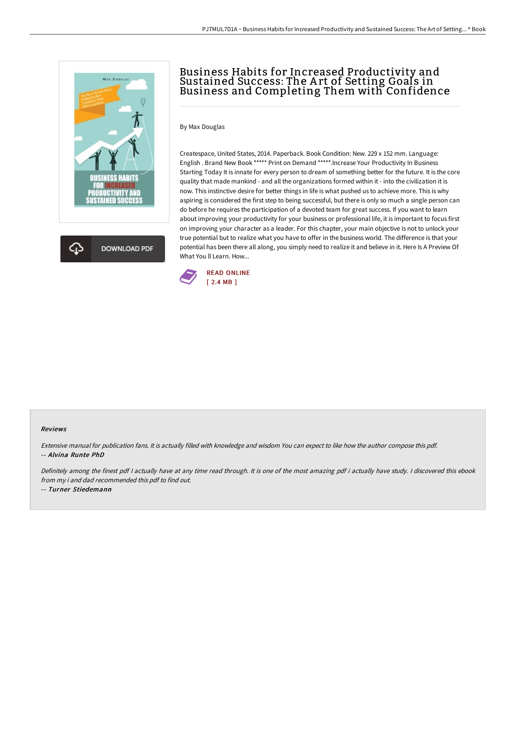

## Business Habits for Increased Productivity and Sustained Success: The A rt of Setting Goals in Business and Completing Them with Confidence

By Max Douglas

Createspace, United States, 2014. Paperback. Book Condition: New. 229 x 152 mm. Language: English . Brand New Book \*\*\*\*\* Print on Demand \*\*\*\*\*.Increase Your Productivity In Business Starting Today It is innate for every person to dream of something better for the future. It is the core quality that made mankind - and all the organizations formed within it - into the civilization it is now. This instinctive desire for better things in life is what pushed us to achieve more. This is why aspiring is considered the first step to being successful, but there is only so much a single person can do before he requires the participation of a devoted team for great success. If you want to learn about improving your productivity for your business or professional life, it is important to focus first on improving your character as a leader. For this chapter, your main objective is not to unlock your true potential but to realize what you have to offer in the business world. The difference is that your potential has been there all along, you simply need to realize it and believe in it. Here Is A Preview Of What You ll Learn. How...



## Reviews

Extensive manual for publication fans. It is actually filled with knowledge and wisdom You can expect to like how the author compose this pdf. -- Alvina Runte PhD

Definitely among the finest pdf I actually have at any time read through. It is one of the most amazing pdf i actually have study. I discovered this ebook from my i and dad recommended this pdf to find out.

-- Turner Stiedemann